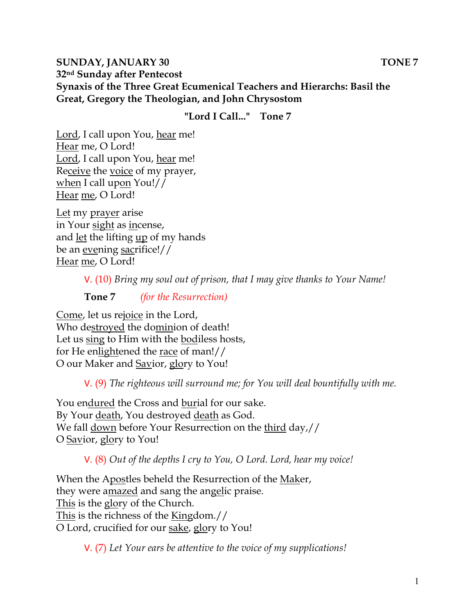### **SUNDAY, JANUARY 30 TONE 7 32nd Sunday after Pentecost Synaxis of the Three Great Ecumenical Teachers and Hierarchs: Basil the Great, Gregory the Theologian, and John Chrysostom**

### **"Lord I Call..." Tone 7**

Lord, I call upon You, hear me! Hear me, O Lord! Lord, I call upon You, hear me! Receive the voice of my prayer, when I call upon You!// Hear me, O Lord!

Let my prayer arise in Your sight as incense, and let the lifting up of my hands be an evening sacrifice!// Hear me, O Lord!

V. (10) *Bring my soul out of prison, that I may give thanks to Your Name!* 

**Tone 7** *(for the Resurrection)* 

Come, let us rejoice in the Lord, Who destroyed the dominion of death! Let us sing to Him with the bodiless hosts, for He enlightened the race of man!// O our Maker and Savior, glory to You!

V. (9) *The righteous will surround me; for You will deal bountifully with me.* 

You endured the Cross and burial for our sake. By Your death, You destroyed death as God. We fall down before Your Resurrection on the third day,// O Savior, glory to You!

V. (8) *Out of the depths I cry to You, O Lord. Lord, hear my voice!* 

When the Apostles beheld the Resurrection of the Maker, they were amazed and sang the angelic praise. This is the glory of the Church. This is the richness of the Kingdom.// O Lord, crucified for our sake, glory to You!

V. (7) *Let Your ears be attentive to the voice of my supplications!*

1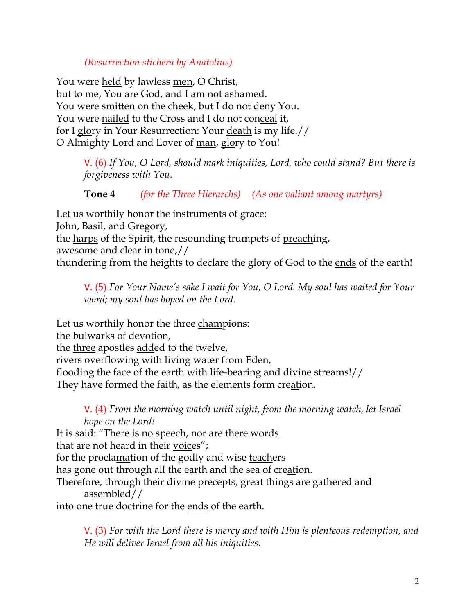## *(Resurrection stichera by Anatolius)*

You were held by lawless men, O Christ, but to me, You are God, and I am not ashamed. You were smitten on the cheek, but I do not deny You. You were nailed to the Cross and I do not conceal it, for I glory in Your Resurrection: Your death is my life.// O Almighty Lord and Lover of man, glory to You!

> V. (6) *If You, O Lord, should mark iniquities, Lord, who could stand? But there is forgiveness with You.*

## **Tone 4** *(for the Three Hierarchs) (As one valiant among martyrs)*

Let us worthily honor the instruments of grace: John, Basil, and Gregory, the harps of the Spirit, the resounding trumpets of preaching, awesome and clear in tone,// thundering from the heights to declare the glory of God to the ends of the earth!

V. (5) *For Your Name's sake I wait for You, O Lord. My soul has waited for Your word; my soul has hoped on the Lord.* 

Let us worthily honor the three champions: the bulwarks of devotion, the three apostles added to the twelve, rivers overflowing with living water from Eden,

flooding the face of the earth with life-bearing and divine streams!// They have formed the faith, as the elements form creation.

V. (4) *From the morning watch until night, from the morning watch, let Israel hope on the Lord!*  It is said: "There is no speech, nor are there words

that are not heard in their voices";

for the proclamation of the godly and wise teachers

has gone out through all the earth and the sea of creation.

Therefore, through their divine precepts, great things are gathered and assembled//

into one true doctrine for the ends of the earth.

V. (3) *For with the Lord there is mercy and with Him is plenteous redemption, and He will deliver Israel from all his iniquities.*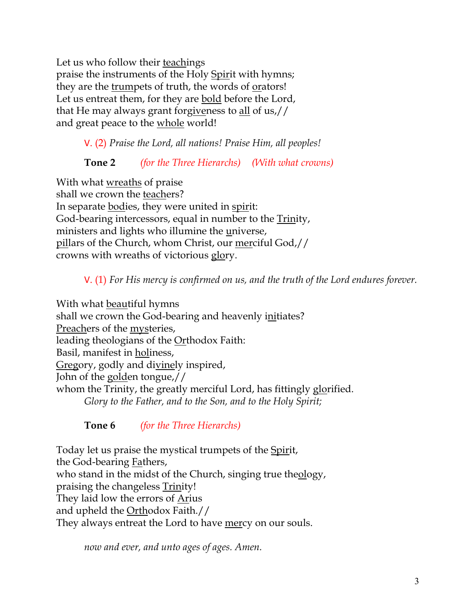Let us who follow their teachings praise the instruments of the Holy Spirit with hymns; they are the trumpets of truth, the words of orators! Let us entreat them, for they are bold before the Lord, that He may always grant forgiveness to all of us,// and great peace to the whole world!

V. (2) *Praise the Lord, all nations! Praise Him, all peoples!*

**Tone 2** *(for the Three Hierarchs) (With what crowns)* 

With what wreaths of praise shall we crown the teachers? In separate bodies, they were united in spirit: God-bearing intercessors, equal in number to the Trinity, ministers and lights who illumine the universe, pillars of the Church, whom Christ, our merciful God,// crowns with wreaths of victorious glory.

V. (1) *For His mercy is confirmed on us, and the truth of the Lord endures forever.* 

With what beautiful hymns shall we crown the God-bearing and heavenly initiates? Preachers of the mysteries, leading theologians of the Orthodox Faith: Basil, manifest in holiness, Gregory, godly and divinely inspired, John of the golden tongue,// whom the Trinity, the greatly merciful Lord, has fittingly glorified. *Glory to the Father, and to the Son, and to the Holy Spirit;*

**Tone 6** *(for the Three Hierarchs)*

Today let us praise the mystical trumpets of the Spirit, the God-bearing Fathers, who stand in the midst of the Church, singing true theology, praising the changeless Trinity! They laid low the errors of Arius and upheld the Orthodox Faith.// They always entreat the Lord to have mercy on our souls.

*now and ever, and unto ages of ages. Amen.*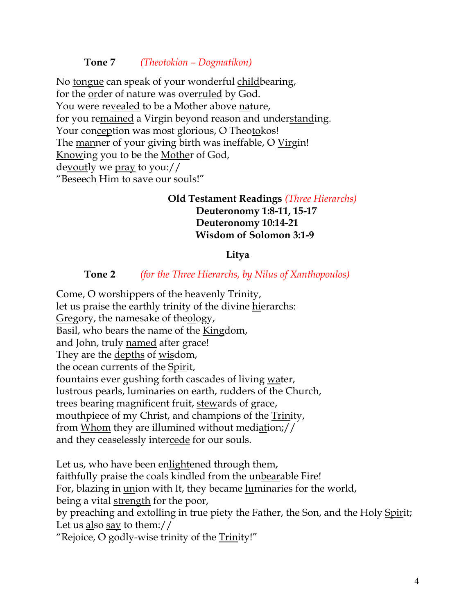### **Tone 7** *(Theotokion – Dogmatikon)*

No tongue can speak of your wonderful childbearing, for the order of nature was overruled by God. You were revealed to be a Mother above nature, for you remained a Virgin beyond reason and understanding. Your conception was most glorious, O Theotokos! The manner of your giving birth was ineffable, O Virgin! Knowing you to be the Mother of God, devoutly we pray to you:// "Beseech Him to save our souls!"

### **Old Testament Readings** *(Three Hierarchs)* **Deuteronomy 1:8-11, 15-17 Deuteronomy 10:14-21 Wisdom of Solomon 3:1-9**

#### **Litya**

#### **Tone 2** *(for the Three Hierarchs, by Nilus of Xanthopoulos)*

Come, O worshippers of the heavenly Trinity, let us praise the earthly trinity of the divine hierarchs: Gregory, the namesake of theology, Basil, who bears the name of the Kingdom, and John, truly named after grace! They are the depths of wisdom, the ocean currents of the Spirit, fountains ever gushing forth cascades of living water, lustrous pearls, luminaries on earth, rudders of the Church, trees bearing magnificent fruit, stewards of grace, mouthpiece of my Christ, and champions of the Trinity, from Whom they are illumined without mediation;// and they ceaselessly intercede for our souls.

Let us, who have been enlightened through them, faithfully praise the coals kindled from the unbearable Fire! For, blazing in union with It, they became luminaries for the world, being a vital strength for the poor, by preaching and extolling in true piety the Father, the Son, and the Holy Spirit; Let us also say to them:// "Rejoice, O godly-wise trinity of the Trinity!"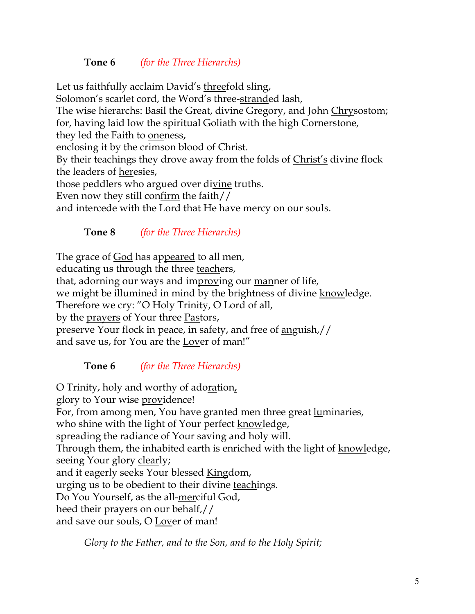## **Tone 6** *(for the Three Hierarchs)*

Let us faithfully acclaim David's threefold sling, Solomon's scarlet cord, the Word's three-stranded lash, The wise hierarchs: Basil the Great, divine Gregory, and John Chrysostom; for, having laid low the spiritual Goliath with the high Cornerstone, they led the Faith to oneness, enclosing it by the crimson blood of Christ. By their teachings they drove away from the folds of Christ's divine flock the leaders of heresies, those peddlers who argued over divine truths. Even now they still confirm the faith// and intercede with the Lord that He have mercy on our souls.

**Tone 8** *(for the Three Hierarchs)*

The grace of God has appeared to all men, educating us through the three teachers, that, adorning our ways and improving our manner of life, we might be illumined in mind by the brightness of divine knowledge. Therefore we cry: "O Holy Trinity, O Lord of all, by the <u>prayers</u> of Your three Pastors, preserve Your flock in peace, in safety, and free of anguish,// and save us, for You are the Lover of man!"

**Tone 6** *(for the Three Hierarchs)*

O Trinity, holy and worthy of adoration, glory to Your wise providence! For, from among men, You have granted men three great luminaries, who shine with the light of Your perfect knowledge, spreading the radiance of Your saving and holy will. Through them, the inhabited earth is enriched with the light of knowledge, seeing Your glory clearly; and it eagerly seeks Your blessed Kingdom, urging us to be obedient to their divine teachings. Do You Yourself, as the all-merciful God, heed their prayers on our behalf,// and save our souls, O Lover of man!

*Glory to the Father, and to the Son, and to the Holy Spirit;*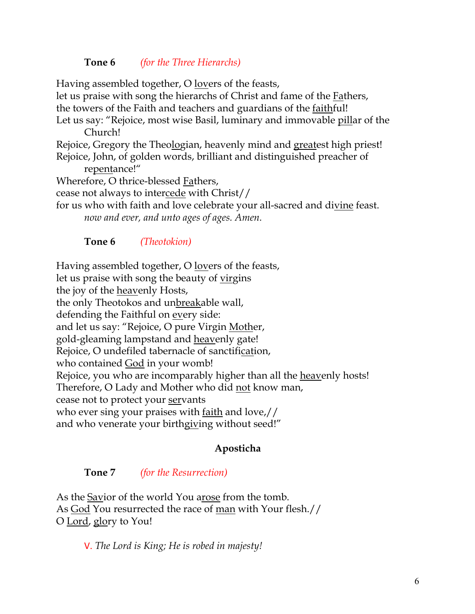### **Tone 6** *(for the Three Hierarchs)*

Having assembled together, O <u>lov</u>ers of the feasts, let us praise with song the hierarchs of Christ and fame of the Fathers, the towers of the Faith and teachers and guardians of the faithful! Let us say: "Rejoice, most wise Basil, luminary and immovable pillar of the Church! Rejoice, Gregory the Theologian, heavenly mind and greatest high priest! Rejoice, John, of golden words, brilliant and distinguished preacher of repentance!" Wherefore, O thrice-blessed Fathers, cease not always to intercede with Christ// for us who with faith and love celebrate your all-sacred and divine feast. *now and ever, and unto ages of ages. Amen.* 

### **Tone 6** *(Theotokion)*

Having assembled together, O <u>lovers</u> of the feasts,

let us praise with song the beauty of virgins

the joy of the heavenly Hosts,

the only Theotokos and unbreakable wall,

defending the Faithful on every side:

and let us say: "Rejoice, O pure Virgin Mother,

gold-gleaming lampstand and heavenly gate!

Rejoice, O undefiled tabernacle of sanctification,

who contained God in your womb!

Rejoice, you who are incomparably higher than all the heavenly hosts!

Therefore, O Lady and Mother who did not know man,

cease not to protect your servants

who ever sing your praises with <u>faith</u> and love,//

and who venerate your birthgiving without seed!"

## **Aposticha**

### **Tone 7** *(for the Resurrection)*

As the Savior of the world You arose from the tomb. As God You resurrected the race of man with Your flesh.// O <u>Lord</u>, glory to You!

V. *The Lord is King; He is robed in majesty!*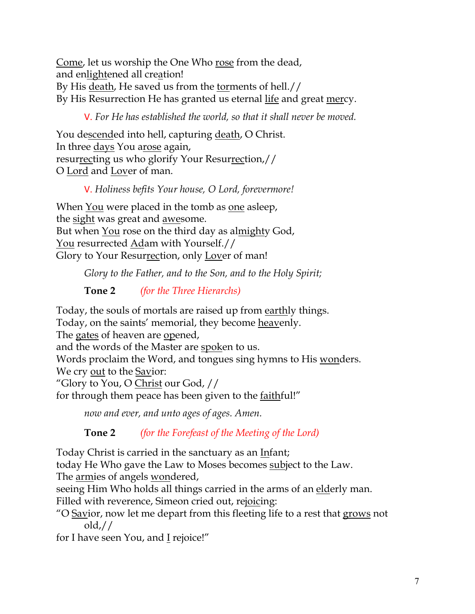Come, let us worship the One Who rose from the dead, and enlightened all creation! By His death, He saved us from the torments of hell.// By His Resurrection He has granted us eternal life and great mercy.

V. *For He has established the world, so that it shall never be moved.*

You descended into hell, capturing death, O Christ. In three days You arose again, resurrecting us who glorify Your Resurrection,// O Lord and Lover of man.

## V. *Holiness befits Your house, O Lord, forevermore!*

When You were placed in the tomb as one asleep, the sight was great and awesome. But when You rose on the third day as almighty God, You resurrected Adam with Yourself.// Glory to Your Resurrection, only Lover of man!

*Glory to the Father, and to the Son, and to the Holy Spirit;*

# **Tone 2** *(for the Three Hierarchs)*

Today, the souls of mortals are raised up from earthly things. Today, on the saints' memorial, they become heavenly. The gates of heaven are opened, and the words of the Master are spoken to us. Words proclaim the Word, and tongues sing hymns to His wonders. We cry out to the Savior: "Glory to You, O Christ our God, // for through them peace has been given to the faithful!"

*now and ever, and unto ages of ages. Amen.*

**Tone 2** *(for the Forefeast of the Meeting of the Lord)* 

Today Christ is carried in the sanctuary as an Infant;

today He Who gave the Law to Moses becomes subject to the Law. The armies of angels wondered,

seeing Him Who holds all things carried in the arms of an elderly man. Filled with reverence, Simeon cried out, rejoicing:

"O Savior, now let me depart from this fleeting life to a rest that grows not

old,//

for I have seen You, and I rejoice!"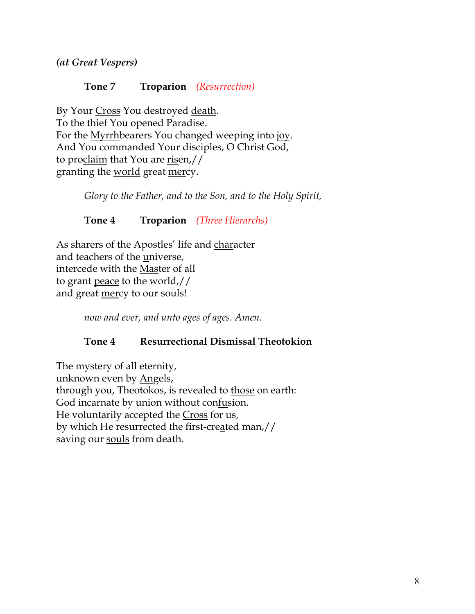*(at Great Vespers)*

### **Tone 7 Troparion** *(Resurrection)*

By Your Cross You destroyed death. To the thief You opened Paradise. For the Myrrhbearers You changed weeping into joy. And You commanded Your disciples, O Christ God, to proclaim that You are risen,// granting the world great mercy.

*Glory to the Father, and to the Son, and to the Holy Spirit,*

**Tone 4 Troparion** *(Three Hierarchs)*

As sharers of the Apostles' life and character and teachers of the universe, intercede with the Master of all to grant peace to the world,// and great mercy to our souls!

*now and ever, and unto ages of ages. Amen.*

## **Tone 4 Resurrectional Dismissal Theotokion**

The mystery of all eternity, unknown even by Angels, through you, Theotokos, is revealed to those on earth: God incarnate by union without confusion. He voluntarily accepted the Cross for us, by which He resurrected the first-created man,// saving our souls from death.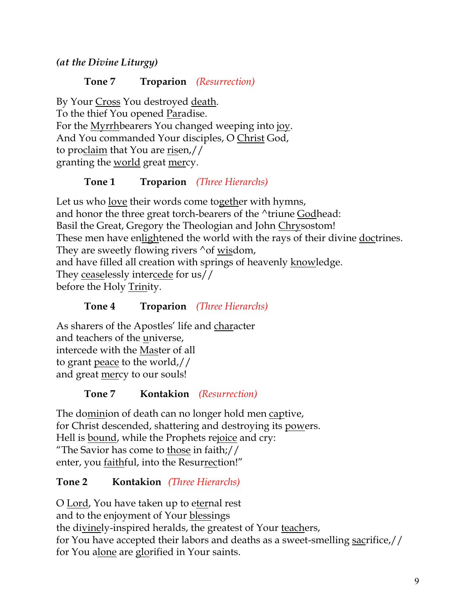*(at the Divine Liturgy)*

## **Tone 7 Troparion** *(Resurrection)*

By Your Cross You destroyed death. To the thief You opened Paradise. For the Myrrhbearers You changed weeping into joy. And You commanded Your disciples, O Christ God, to proclaim that You are risen,// granting the world great mercy.

## **Tone 1 Troparion** *(Three Hierarchs)*

Let us who love their words come together with hymns, and honor the three great torch-bearers of the ^triune Godhead: Basil the Great, Gregory the Theologian and John Chrysostom! These men have enlightened the world with the rays of their divine doctrines. They are sweetly flowing rivers  $\sim$  of wisdom, and have filled all creation with springs of heavenly knowledge. They ceaselessly intercede for us// before the Holy Trinity.

## **Tone 4 Troparion** *(Three Hierarchs)*

As sharers of the Apostles' life and character and teachers of the universe, intercede with the Master of all to grant peace to the world,// and great mercy to our souls!

## **Tone 7 Kontakion** *(Resurrection)*

The dominion of death can no longer hold men captive, for Christ descended, shattering and destroying its powers. Hell is <u>bound</u>, while the Prophets re<u>joice</u> and cry: "The Savior has come to those in faith;// enter, you faithful, into the Resurrection!"

## **Tone 2 Kontakion** *(Three Hierarchs)*

O Lord, You have taken up to eternal rest and to the enjoyment of Your blessings the divinely-inspired heralds, the greatest of Your teachers, for You have accepted their labors and deaths as a sweet-smelling sacrifice,// for You alone are glorified in Your saints.